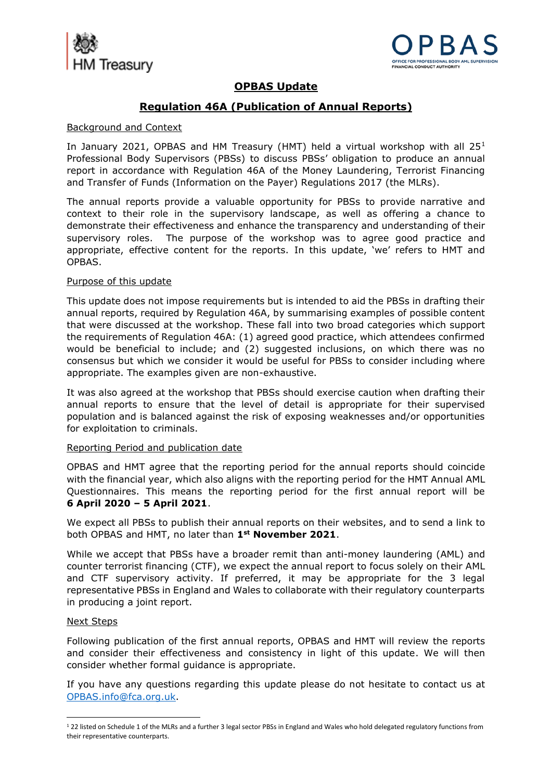



# **OPBAS Update**

# **Regulation 46A (Publication of Annual Reports)**

### Background and Context

In January 2021, OPBAS and HM Treasury (HMT) held a virtual workshop with all 25<sup>1</sup> Professional Body Supervisors (PBSs) to discuss PBSs' obligation to produce an annual report in accordance with Regulation 46A of the Money Laundering, Terrorist Financing and Transfer of Funds (Information on the Payer) Regulations 2017 (the MLRs).

The annual reports provide a valuable opportunity for PBSs to provide narrative and context to their role in the supervisory landscape, as well as offering a chance to demonstrate their effectiveness and enhance the transparency and understanding of their supervisory roles. The purpose of the workshop was to agree good practice and appropriate, effective content for the reports. In this update, 'we' refers to HMT and OPBAS.

## Purpose of this update

This update does not impose requirements but is intended to aid the PBSs in drafting their annual reports, required by Regulation 46A, by summarising examples of possible content that were discussed at the workshop. These fall into two broad categories which support the requirements of Regulation 46A: (1) agreed good practice, which attendees confirmed would be beneficial to include; and (2) suggested inclusions, on which there was no consensus but which we consider it would be useful for PBSs to consider including where appropriate. The examples given are non-exhaustive.

It was also agreed at the workshop that PBSs should exercise caution when drafting their annual reports to ensure that the level of detail is appropriate for their supervised population and is balanced against the risk of exposing weaknesses and/or opportunities for exploitation to criminals.

#### Reporting Period and publication date

OPBAS and HMT agree that the reporting period for the annual reports should coincide with the financial year, which also aligns with the reporting period for the HMT Annual AML Questionnaires. This means the reporting period for the first annual report will be **6 April 2020 – 5 April 2021**.

We expect all PBSs to publish their annual reports on their websites, and to send a link to both OPBAS and HMT, no later than **1st November 2021**.

While we accept that PBSs have a broader remit than anti-money laundering (AML) and counter terrorist financing (CTF), we expect the annual report to focus solely on their AML and CTF supervisory activity. If preferred, it may be appropriate for the 3 legal representative PBSs in England and Wales to collaborate with their regulatory counterparts in producing a joint report.

#### Next Steps

Following publication of the first annual reports, OPBAS and HMT will review the reports and consider their effectiveness and consistency in light of this update. We will then consider whether formal guidance is appropriate.

If you have any questions regarding this update please do not hesitate to contact us at [OPBAS.info@fca.org.uk.](mailto:OPBAS@fca.org.uk)

<sup>&</sup>lt;sup>1</sup> 22 listed on Schedule 1 of the MLRs and a further 3 legal sector PBSs in England and Wales who hold delegated regulatory functions from their representative counterparts.